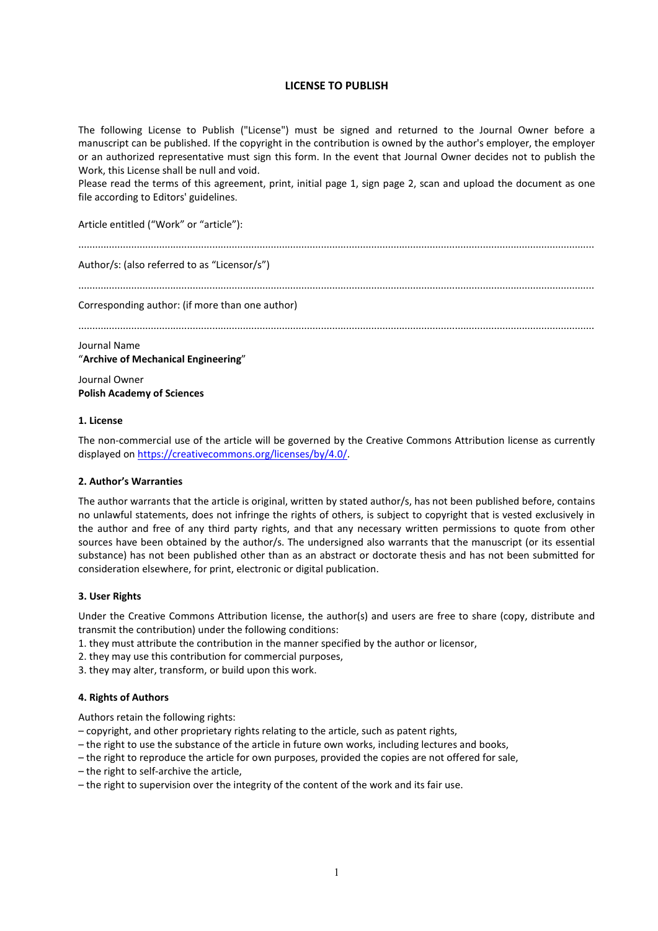# **LICENSE TO PUBLISH**

The following License to Publish ("License") must be signed and returned to the Journal Owner before a manuscript can be published. If the copyright in the contribution is owned by the author's employer, the employer or an authorized representative must sign this form. In the event that Journal Owner decides not to publish the Work, this License shall be null and void.

Please read the terms of this agreement, print, initial page 1, sign page 2, scan and upload the document as one file according to Editors' guidelines.

Article entitled ("Work" or "article"):

.........................................................................................................................................................................................

Author/s: (also referred to as "Licensor/s")

.........................................................................................................................................................................................

Corresponding author: (if more than one author)

.........................................................................................................................................................................................

#### Journal Name

"**Archive of Mechanical Engineering**"

Journal Owner **Polish Academy of Sciences**

#### **1. License**

The non-commercial use of the article will be governed by the Creative Commons Attribution license as currently displayed on [https://creativecommons.org/licenses/by/4.0/.](https://creativecommons.org/licenses/by/4.0/)

### **2. Author's Warranties**

The author warrants that the article is original, written by stated author/s, has not been published before, contains no unlawful statements, does not infringe the rights of others, is subject to copyright that is vested exclusively in the author and free of any third party rights, and that any necessary written permissions to quote from other sources have been obtained by the author/s. The undersigned also warrants that the manuscript (or its essential substance) has not been published other than as an abstract or doctorate thesis and has not been submitted for consideration elsewhere, for print, electronic or digital publication.

# **3. User Rights**

Under the Creative Commons Attribution license, the author(s) and users are free to share (copy, distribute and transmit the contribution) under the following conditions:

- 1. they must attribute the contribution in the manner specified by the author or licensor,
- 2. they may use this contribution for commercial purposes,
- 3. they may alter, transform, or build upon this work.

### **4. Rights of Authors**

Authors retain the following rights:

- copyright, and other proprietary rights relating to the article, such as patent rights,
- the right to use the substance of the article in future own works, including lectures and books,
- the right to reproduce the article for own purposes, provided the copies are not offered for sale,
- the right to self-archive the article,
- the right to supervision over the integrity of the content of the work and its fair use.